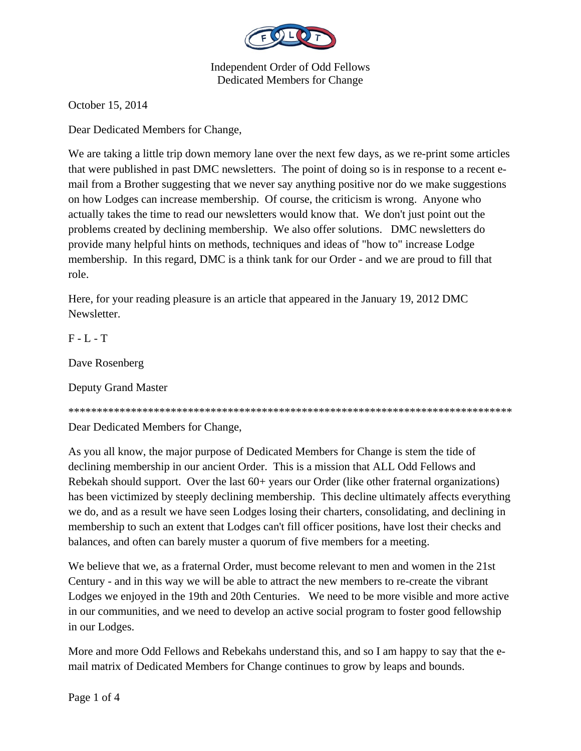

October 15, 2014

Dear Dedicated Members for Change,

We are taking a little trip down memory lane over the next few days, as we re-print some articles that were published in past DMC newsletters. The point of doing so is in response to a recent email from a Brother suggesting that we never say anything positive nor do we make suggestions on how Lodges can increase membership. Of course, the criticism is wrong. Anyone who actually takes the time to read our newsletters would know that. We don't just point out the problems created by declining membership. We also offer solutions. DMC newsletters do provide many helpful hints on methods, techniques and ideas of "how to" increase Lodge membership. In this regard, DMC is a think tank for our Order - and we are proud to fill that role.

Here, for your reading pleasure is an article that appeared in the January 19, 2012 DMC Newsletter.

 $F - L - T$ 

Dave Rosenberg

Deputy Grand Master

\*\*\*\*\*\*\*\*\*\*\*\*\*\*\*\*\*\*\*\*\*\*\*\*\*\*\*\*\*\*\*\*\*\*\*\*\*\*\*\*\*\*\*\*\*\*\*\*\*\*\*\*\*\*\*\*\*\*\*\*\*\*\*\*\*\*\*\*\*\*\*\*\*\*\*\*\*\*

Dear Dedicated Members for Change,

As you all know, the major purpose of Dedicated Members for Change is stem the tide of declining membership in our ancient Order. This is a mission that ALL Odd Fellows and Rebekah should support. Over the last 60+ years our Order (like other fraternal organizations) has been victimized by steeply declining membership. This decline ultimately affects everything we do, and as a result we have seen Lodges losing their charters, consolidating, and declining in membership to such an extent that Lodges can't fill officer positions, have lost their checks and balances, and often can barely muster a quorum of five members for a meeting.

We believe that we, as a fraternal Order, must become relevant to men and women in the 21st Century - and in this way we will be able to attract the new members to re-create the vibrant Lodges we enjoyed in the 19th and 20th Centuries. We need to be more visible and more active in our communities, and we need to develop an active social program to foster good fellowship in our Lodges.

More and more Odd Fellows and Rebekahs understand this, and so I am happy to say that the email matrix of Dedicated Members for Change continues to grow by leaps and bounds.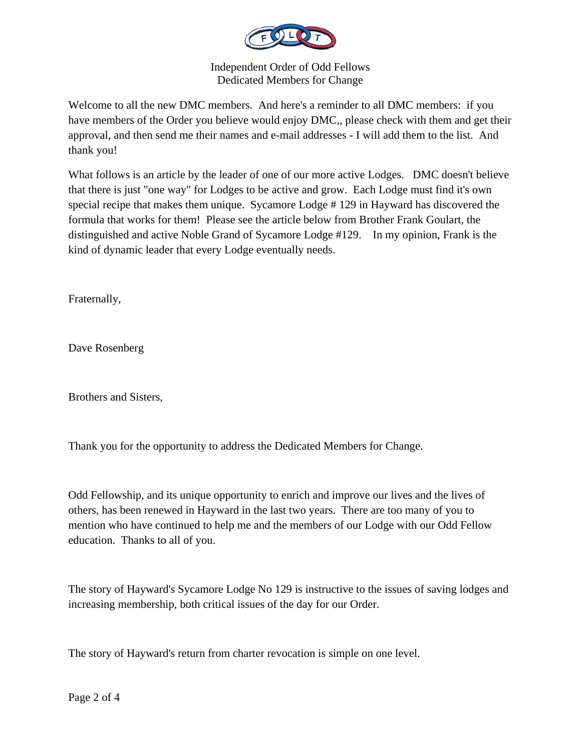

Welcome to all the new DMC members. And here's a reminder to all DMC members: if you have members of the Order you believe would enjoy DMC,, please check with them and get their approval, and then send me their names and e-mail addresses - I will add them to the list. And thank you!

What follows is an article by the leader of one of our more active Lodges. DMC doesn't believe that there is just "one way" for Lodges to be active and grow. Each Lodge must find it's own special recipe that makes them unique. Sycamore Lodge # 129 in Hayward has discovered the formula that works for them! Please see the article below from Brother Frank Goulart, the distinguished and active Noble Grand of Sycamore Lodge #129. In my opinion, Frank is the kind of dynamic leader that every Lodge eventually needs.

Fraternally,

Dave Rosenberg

Brothers and Sisters,

Thank you for the opportunity to address the Dedicated Members for Change.

Odd Fellowship, and its unique opportunity to enrich and improve our lives and the lives of others, has been renewed in Hayward in the last two years. There are too many of you to mention who have continued to help me and the members of our Lodge with our Odd Fellow education. Thanks to all of you.

The story of Hayward's Sycamore Lodge No 129 is instructive to the issues of saving lodges and increasing membership, both critical issues of the day for our Order.

The story of Hayward's return from charter revocation is simple on one level.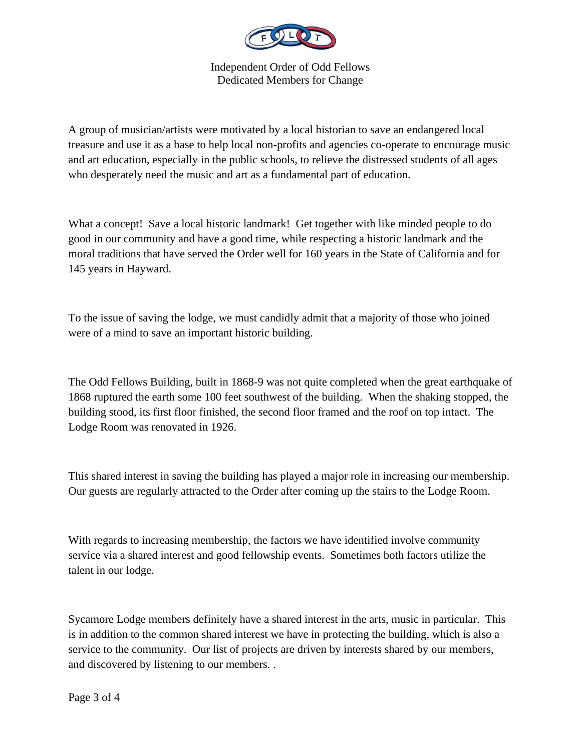

A group of musician/artists were motivated by a local historian to save an endangered local treasure and use it as a base to help local non-profits and agencies co-operate to encourage music and art education, especially in the public schools, to relieve the distressed students of all ages who desperately need the music and art as a fundamental part of education.

What a concept! Save a local historic landmark! Get together with like minded people to do good in our community and have a good time, while respecting a historic landmark and the moral traditions that have served the Order well for 160 years in the State of California and for 145 years in Hayward.

To the issue of saving the lodge, we must candidly admit that a majority of those who joined were of a mind to save an important historic building.

The Odd Fellows Building, built in 1868-9 was not quite completed when the great earthquake of 1868 ruptured the earth some 100 feet southwest of the building. When the shaking stopped, the building stood, its first floor finished, the second floor framed and the roof on top intact. The Lodge Room was renovated in 1926.

This shared interest in saving the building has played a major role in increasing our membership. Our guests are regularly attracted to the Order after coming up the stairs to the Lodge Room.

With regards to increasing membership, the factors we have identified involve community service via a shared interest and good fellowship events. Sometimes both factors utilize the talent in our lodge.

Sycamore Lodge members definitely have a shared interest in the arts, music in particular. This is in addition to the common shared interest we have in protecting the building, which is also a service to the community. Our list of projects are driven by interests shared by our members, and discovered by listening to our members. .